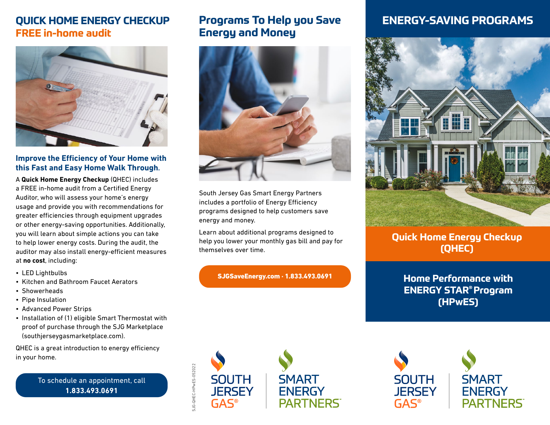## **QUICK HOME ENERGY CHECKUP FREE in-home audit**



#### **Improve the Efficiency of Your Home with this Fast and Easy Home Walk Through.**

A **Quick Home Energy Checkup** (QHEC) includes a FREE in-home audit from a Certified Energy Auditor, who will assess your home's energy usage and provide you with recommendations for greater efficiencies through equipment upgrades or other energy-saving opportunities. Additionally, you will learn about simple actions you can take to help lower energy costs. During the audit, the auditor may also install energy-efficient measures at **no cost**, including:

- LED Lightbulbs
- Kitchen and Bathroom Faucet Aerators
- Showerheads
- Pipe Insulation
- Advanced Power Strips
- Installation of (1) eligible Smart Thermostat with proof of purchase through the SJG Marketplace (southjerseygasmarketplace.com).

QHEC is a great introduction to energy efficiency in your home.

> To schedule an appointment, call **1.833.493.0691**

# **Energy and Money**



South Jersey Gas Smart Energy Partners includes a portfolio of Energy Efficiency programs designed to help customers save energy and money.

Learn about additional programs designed to help you lower your monthly gas bill and pay for themselves over time.

SJGSaveEnergy.com · 1.833.493.0691



SJG-QHEC-HPwES-052022

3JG-QHEC-HPWES-052022



## **Programs To Help you Save ENERGY-SAVING PROGRAMS**



**Quick Home Energy Checkup (QHEC)**

**Home Performance with ENERGY STAR® Program (HPwES)**

**SOUTH** 

**JERSEY** 

 $GAS^*$ 

**SMART** 

**ENERGY** 

**PARTNERS**